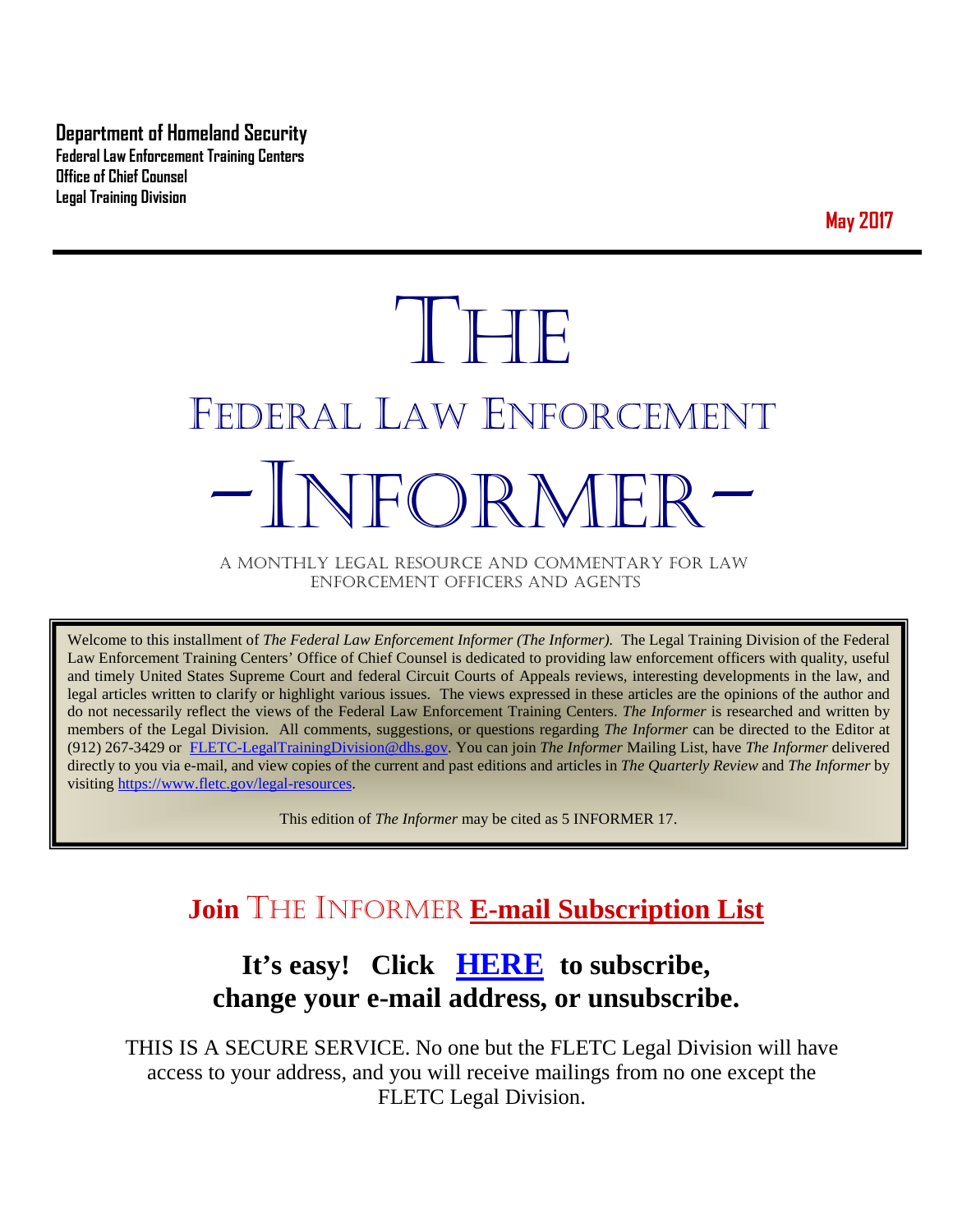**Department of Homeland Security Federal Law Enforcement Training Centers Office of Chief Counsel Legal Training Division** 

**May 2017**

# THE FEDERAL LAW ENFORCEMENT -INFORMER- A MONTHLY LEGAL RESOURCE AND COMMENTARY FOR LAW

ENFORCEMENT OFFICERS AND AGENTS

Welcome to this installment of *The Federal Law Enforcement Informer (The Informer).* The Legal Training Division of the Federal Law Enforcement Training Centers' Office of Chief Counsel is dedicated to providing law enforcement officers with quality, useful and timely United States Supreme Court and federal Circuit Courts of Appeals reviews, interesting developments in the law, and legal articles written to clarify or highlight various issues. The views expressed in these articles are the opinions of the author and do not necessarily reflect the views of the Federal Law Enforcement Training Centers. *The Informer* is researched and written by members of the Legal Division. All comments, suggestions, or questions regarding *The Informer* can be directed to the Editor at (912) 267-3429 or [FLETC-LegalTrainingDivision@dhs.gov.](mailto:FLETC-LegalTrainingDivision@dhs.gov) You can join *The Informer* Mailing List, have *The Informer* delivered directly to you via e-mail, and view copies of the current and past editions and articles in *The Quarterly Review* and *The Informer* by visiting [https://www.fletc.gov/legal-resources.](https://www.fletc.gov/legal-resources) 

This edition of *The Informer* may be cited as 5 INFORMER 17.

# **Join** THE INFORMER **E-mail Subscription List**

# **It's easy! Click [HERE](http://peach.ease.lsoft.com/scripts/wa.exe?SUBED1=fletclgd&A=1) to subscribe, change your e-mail address, or unsubscribe.**

THIS IS A SECURE SERVICE. No one but the FLETC Legal Division will have access to your address, and you will receive mailings from no one except the FLETC Legal Division.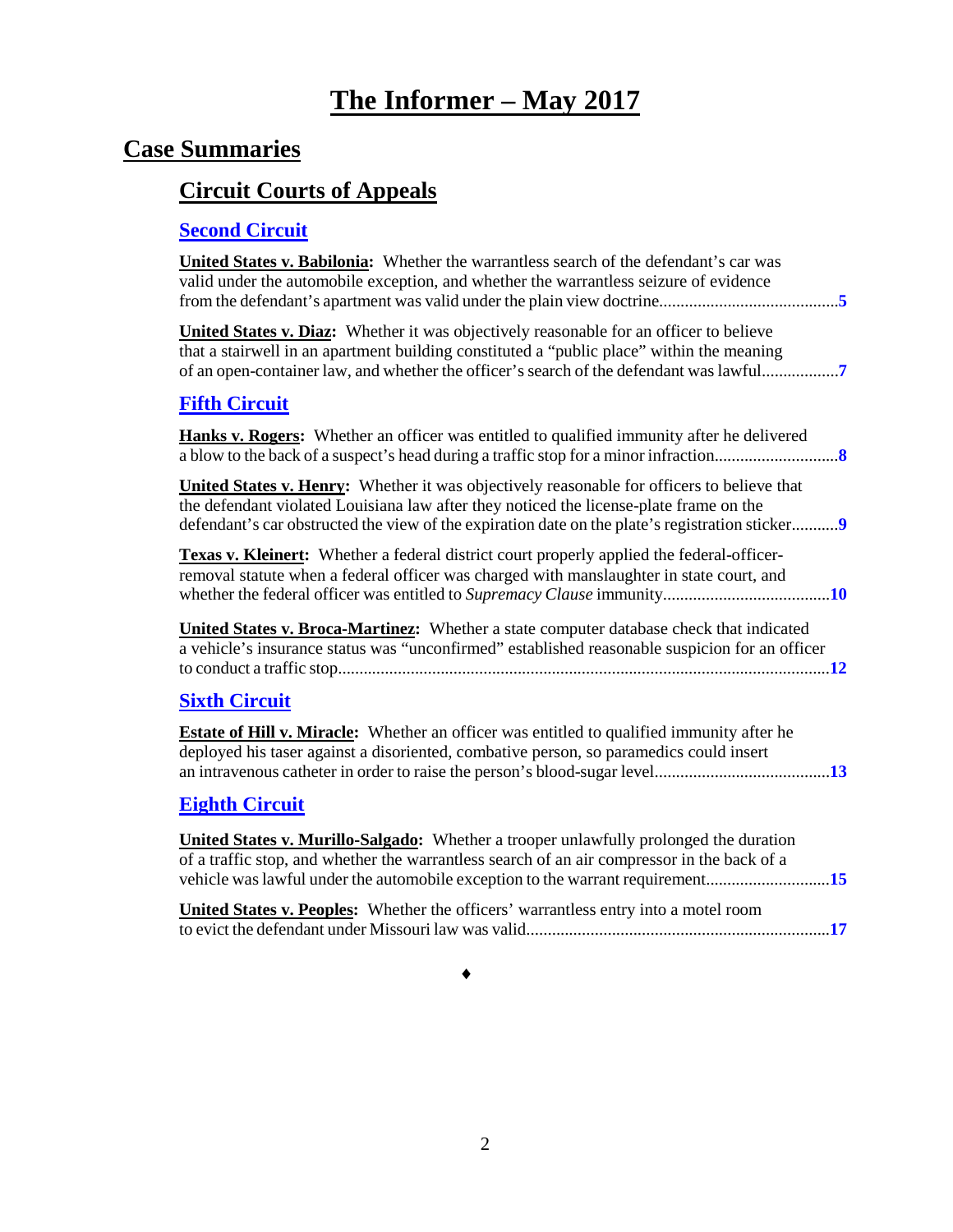# **The Informer – May <sup>2017</sup>**

# **Case Summaries**

# **[Circuit Courts of Appeals](#page-4-0)**

### **[Second Circuit](#page-4-1)**

| <b>United States v. Babilonia:</b> Whether the warrantless search of the defendant's car was<br>valid under the automobile exception, and whether the warrantless seizure of evidence                                                                                                         |
|-----------------------------------------------------------------------------------------------------------------------------------------------------------------------------------------------------------------------------------------------------------------------------------------------|
| <b>United States v. Diaz:</b> Whether it was objectively reasonable for an officer to believe<br>that a stairwell in an apartment building constituted a "public place" within the meaning                                                                                                    |
| <b>Fifth Circuit</b>                                                                                                                                                                                                                                                                          |
| <b>Hanks v. Rogers:</b> Whether an officer was entitled to qualified immunity after he delivered                                                                                                                                                                                              |
| <b>United States v. Henry:</b> Whether it was objectively reasonable for officers to believe that<br>the defendant violated Louisiana law after they noticed the license-plate frame on the<br>defendant's car obstructed the view of the expiration date on the plate's registration sticker |
| Texas v. Kleinert: Whether a federal district court properly applied the federal-officer-<br>removal statute when a federal officer was charged with manslaughter in state court, and                                                                                                         |
| <b>United States v. Broca-Martinez:</b> Whether a state computer database check that indicated<br>a vehicle's insurance status was "unconfirmed" established reasonable suspicion for an officer                                                                                              |
| <b>Sixth Circuit</b>                                                                                                                                                                                                                                                                          |
| <b>Estate of Hill v. Miracle:</b> Whether an officer was entitled to qualified immunity after he<br>deployed his taser against a disoriented, combative person, so paramedics could insert                                                                                                    |
| <b>Eighth Circuit</b>                                                                                                                                                                                                                                                                         |
| <b>United States v. Murillo-Salgado:</b> Whether a trooper unlawfully prolonged the duration<br>of a traffic stop, and whether the warrantless search of an air compressor in the back of a                                                                                                   |
| United States v. Peoples: Whether the officers' warrantless entry into a motel room                                                                                                                                                                                                           |
|                                                                                                                                                                                                                                                                                               |

♦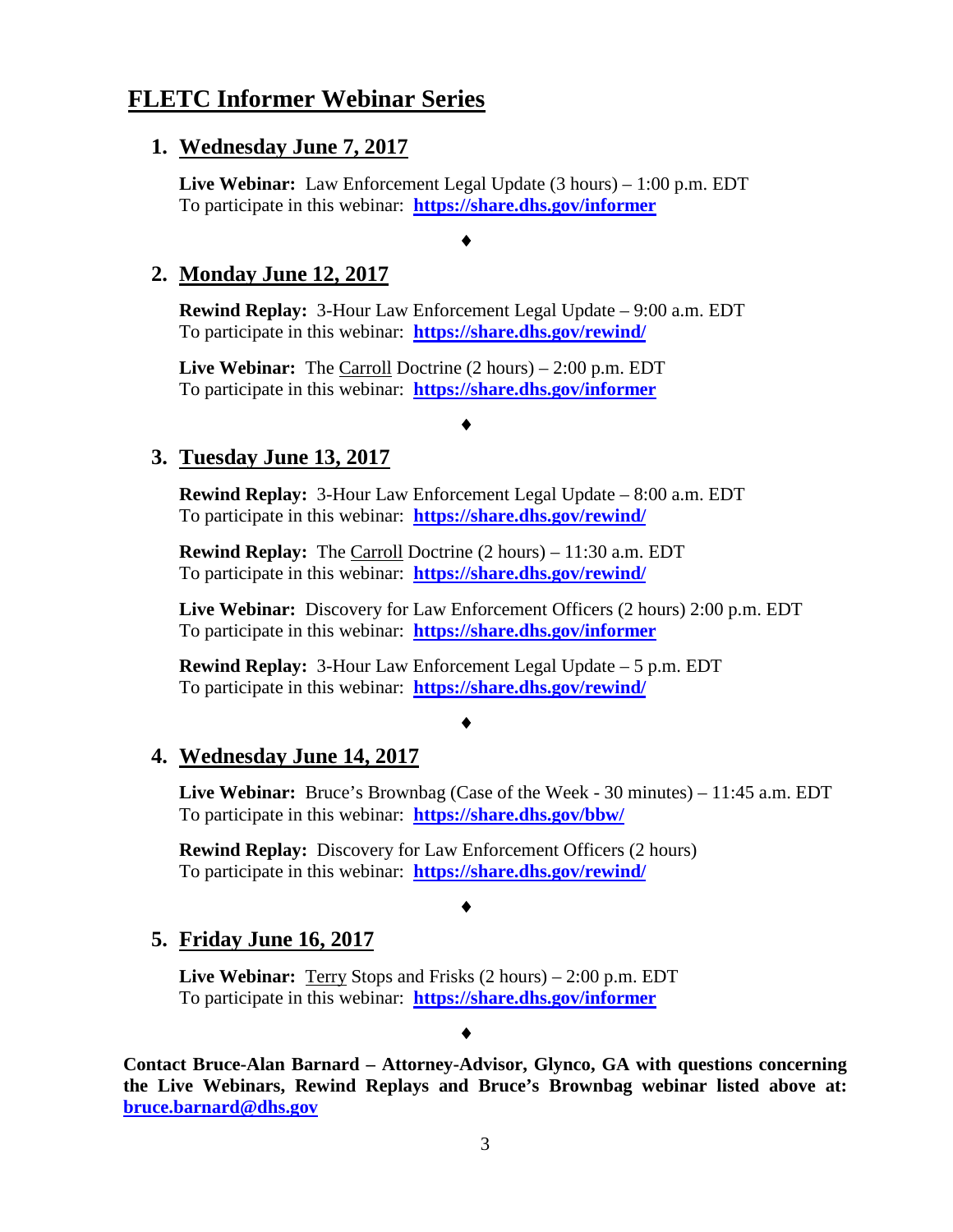#### **FLETC Informer Webinar Series**

#### **1. Wednesday June 7, 2017**

**Live Webinar:** Law Enforcement Legal Update (3 hours) – 1:00 p.m. EDT To participate in this webinar: **<https://share.dhs.gov/informer>**

♦

#### **2. Monday June 12, 2017**

**Rewind Replay:** 3-Hour Law Enforcement Legal Update – 9:00 a.m. EDT To participate in this webinar: **<https://share.dhs.gov/rewind/>**

**Live Webinar:** The Carroll Doctrine (2 hours) – 2:00 p.m. EDT To participate in this webinar: **<https://share.dhs.gov/informer>**

#### ♦

#### **3. Tuesday June 13, 2017**

**Rewind Replay:** 3-Hour Law Enforcement Legal Update – 8:00 a.m. EDT To participate in this webinar: **<https://share.dhs.gov/rewind/>**

**Rewind Replay:** The Carroll Doctrine (2 hours) – 11:30 a.m. EDT To participate in this webinar: **<https://share.dhs.gov/rewind/>**

**Live Webinar:** Discovery for Law Enforcement Officers (2 hours) 2:00 p.m. EDT To participate in this webinar: **<https://share.dhs.gov/informer>**

**Rewind Replay:** 3-Hour Law Enforcement Legal Update – 5 p.m. EDT To participate in this webinar: **<https://share.dhs.gov/rewind/>**

♦

#### **4. Wednesday June 14, 2017**

**Live Webinar:** Bruce's Brownbag (Case of the Week - 30 minutes) – 11:45 a.m. EDT To participate in this webinar: **<https://share.dhs.gov/bbw/>**

**Rewind Replay:** Discovery for Law Enforcement Officers (2 hours) To participate in this webinar: **<https://share.dhs.gov/rewind/>**

#### ♦

#### **5. Friday June 16, 2017**

**Live Webinar:** Terry Stops and Frisks (2 hours) – 2:00 p.m. EDT To participate in this webinar: **<https://share.dhs.gov/informer>**

♦

**Contact Bruce-Alan Barnard – Attorney-Advisor, Glynco, GA with questions concerning the Live Webinars, Rewind Replays and Bruce's Brownbag webinar listed above at: [bruce.barnard@dhs.gov](mailto:bruce.barnard@dhs.gov)**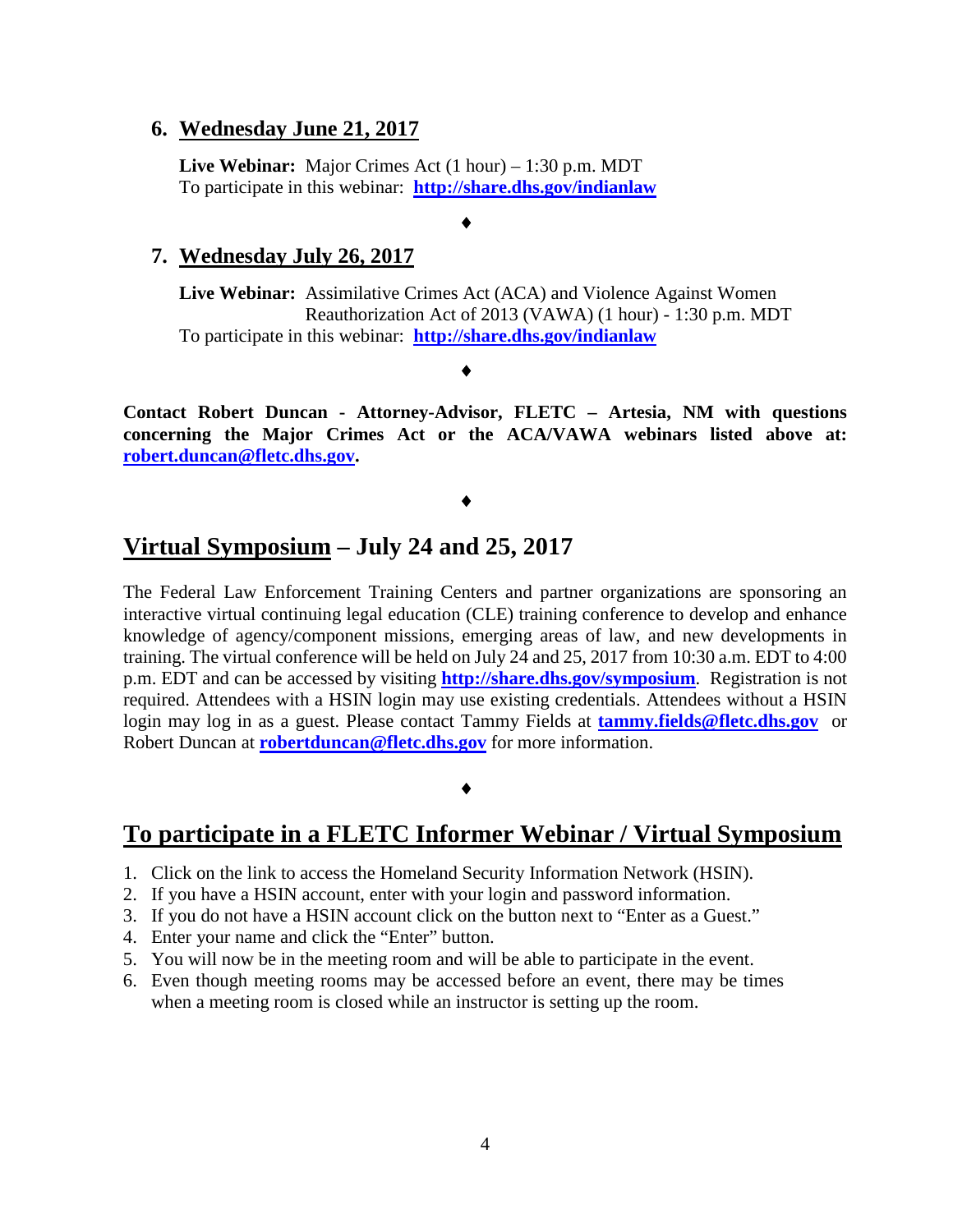#### **6. Wednesday June 21, 2017**

**Live Webinar:** Major Crimes Act (1 hour) – 1:30 p.m. MDT To participate in this webinar: **<http://share.dhs.gov/indianlaw>**

♦

#### **7. Wednesday July 26, 2017**

**Live Webinar:** Assimilative Crimes Act (ACA) and Violence Against Women Reauthorization Act of 2013 (VAWA) (1 hour) - 1:30 p.m. MDT To participate in this webinar: **<http://share.dhs.gov/indianlaw>**

♦

**Contact Robert Duncan - Attorney-Advisor, FLETC – Artesia, NM with questions concerning the Major Crimes Act or the ACA/VAWA webinars listed above at: [robert.duncan@fletc.dhs.gov.](mailto:robert.duncan@fletc.dhs.gov)**

#### ♦

#### **Virtual Symposium – July 24 and 25, 2017**

The Federal Law Enforcement Training Centers and partner organizations are sponsoring an interactive virtual continuing legal education (CLE) training conference to develop and enhance knowledge of agency/component missions, emerging areas of law, and new developments in training. The virtual conference will be held on July 24 and 25, 2017 from 10:30 a.m. EDT to 4:00 p.m. EDT and can be accessed by visiting **<http://share.dhs.gov/symposium>**. Registration is not required. Attendees with a HSIN login may use existing credentials. Attendees without a HSIN login may log in as a guest. Please contact Tammy Fields at **[tammy.fields@fletc.dhs.gov](mailto:tammy.fields@fletc.dhs.gov)** or Robert Duncan at **[robertduncan@fletc.dhs.gov](mailto:robertduncan@fletc.dhs.gov)** for more information.

#### ♦

#### **To participate in a FLETC Informer Webinar / Virtual Symposium**

- 1. Click on the link to access the Homeland Security Information Network (HSIN).
- 2. If you have a HSIN account, enter with your login and password information.
- 3. If you do not have a HSIN account click on the button next to "Enter as a Guest."
- 4. Enter your name and click the "Enter" button.
- 5. You will now be in the meeting room and will be able to participate in the event.
- 6. Even though meeting rooms may be accessed before an event, there may be times when a meeting room is closed while an instructor is setting up the room.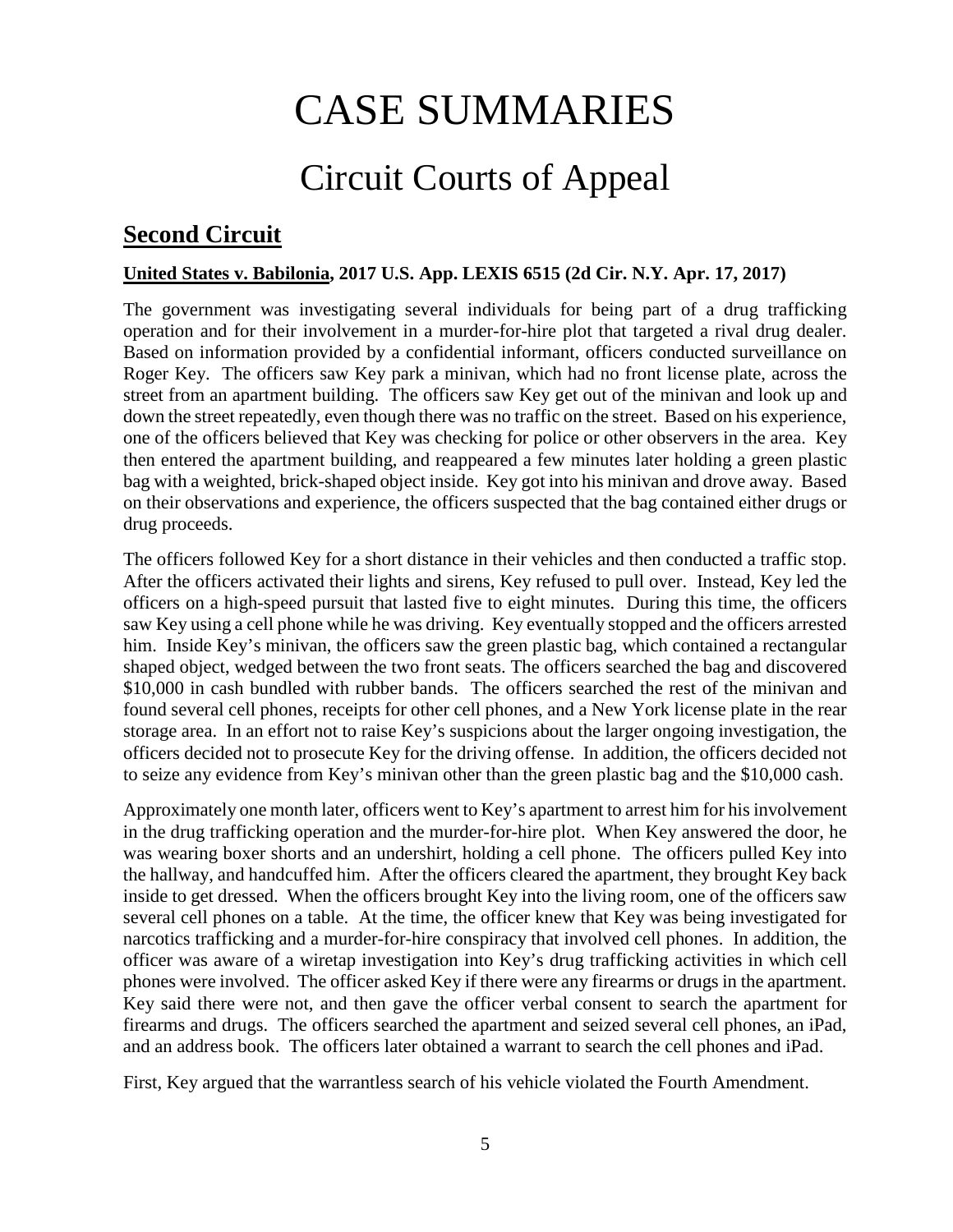# CASE SUMMARIES

# Circuit Courts of Appeal

## <span id="page-4-1"></span><span id="page-4-0"></span>**Second Circuit**

#### <span id="page-4-2"></span>**United States v. Babilonia, 2017 U.S. App. LEXIS 6515 (2d Cir. N.Y. Apr. 17, 2017)**

The government was investigating several individuals for being part of a drug trafficking operation and for their involvement in a murder-for-hire plot that targeted a rival drug dealer. Based on information provided by a confidential informant, officers conducted surveillance on Roger Key. The officers saw Key park a minivan, which had no front license plate, across the street from an apartment building. The officers saw Key get out of the minivan and look up and down the street repeatedly, even though there was no traffic on the street. Based on his experience, one of the officers believed that Key was checking for police or other observers in the area. Key then entered the apartment building, and reappeared a few minutes later holding a green plastic bag with a weighted, brick-shaped object inside. Key got into his minivan and drove away. Based on their observations and experience, the officers suspected that the bag contained either drugs or drug proceeds.

The officers followed Key for a short distance in their vehicles and then conducted a traffic stop. After the officers activated their lights and sirens, Key refused to pull over. Instead, Key led the officers on a high-speed pursuit that lasted five to eight minutes. During this time, the officers saw Key using a cell phone while he was driving. Key eventually stopped and the officers arrested him. Inside Key's minivan, the officers saw the green plastic bag, which contained a rectangular shaped object, wedged between the two front seats. The officers searched the bag and discovered \$10,000 in cash bundled with rubber bands. The officers searched the rest of the minivan and found several cell phones, receipts for other cell phones, and a New York license plate in the rear storage area. In an effort not to raise Key's suspicions about the larger ongoing investigation, the officers decided not to prosecute Key for the driving offense. In addition, the officers decided not to seize any evidence from Key's minivan other than the green plastic bag and the \$10,000 cash.

Approximately one month later, officers went to Key's apartment to arrest him for his involvement in the drug trafficking operation and the murder-for-hire plot. When Key answered the door, he was wearing boxer shorts and an undershirt, holding a cell phone. The officers pulled Key into the hallway, and handcuffed him. After the officers cleared the apartment, they brought Key back inside to get dressed. When the officers brought Key into the living room, one of the officers saw several cell phones on a table. At the time, the officer knew that Key was being investigated for narcotics trafficking and a murder-for-hire conspiracy that involved cell phones. In addition, the officer was aware of a wiretap investigation into Key's drug trafficking activities in which cell phones were involved. The officer asked Key if there were any firearms or drugs in the apartment. Key said there were not, and then gave the officer verbal consent to search the apartment for firearms and drugs. The officers searched the apartment and seized several cell phones, an iPad, and an address book. The officers later obtained a warrant to search the cell phones and iPad.

First, Key argued that the warrantless search of his vehicle violated the Fourth Amendment.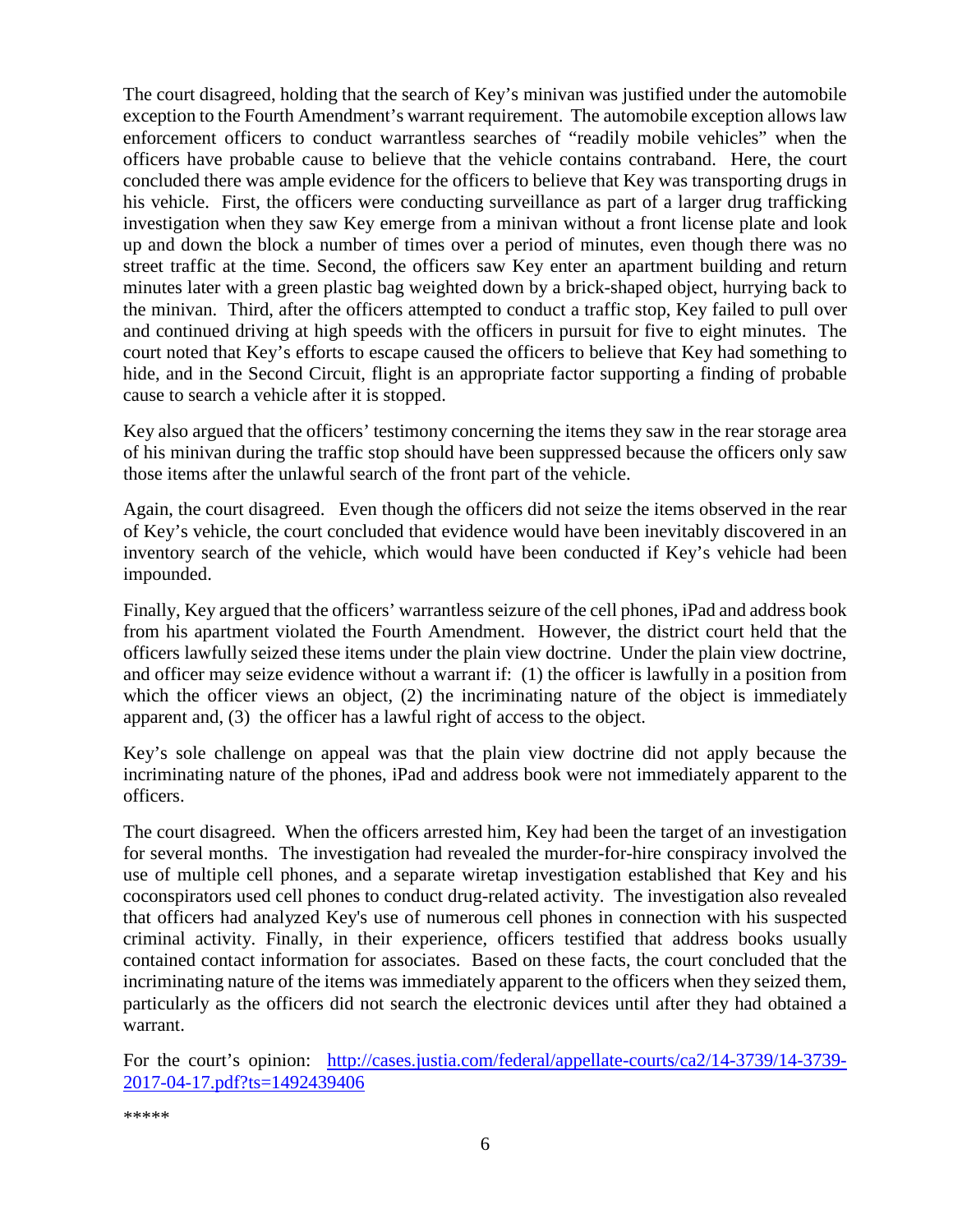The court disagreed, holding that the search of Key's minivan was justified under the automobile exception to the Fourth Amendment's warrant requirement. The automobile exception allows law enforcement officers to conduct warrantless searches of "readily mobile vehicles" when the officers have probable cause to believe that the vehicle contains contraband. Here, the court concluded there was ample evidence for the officers to believe that Key was transporting drugs in his vehicle. First, the officers were conducting surveillance as part of a larger drug trafficking investigation when they saw Key emerge from a minivan without a front license plate and look up and down the block a number of times over a period of minutes, even though there was no street traffic at the time. Second, the officers saw Key enter an apartment building and return minutes later with a green plastic bag weighted down by a brick-shaped object, hurrying back to the minivan. Third, after the officers attempted to conduct a traffic stop, Key failed to pull over and continued driving at high speeds with the officers in pursuit for five to eight minutes. The court noted that Key's efforts to escape caused the officers to believe that Key had something to hide, and in the Second Circuit, flight is an appropriate factor supporting a finding of probable cause to search a vehicle after it is stopped.

Key also argued that the officers' testimony concerning the items they saw in the rear storage area of his minivan during the traffic stop should have been suppressed because the officers only saw those items after the unlawful search of the front part of the vehicle.

Again, the court disagreed. Even though the officers did not seize the items observed in the rear of Key's vehicle, the court concluded that evidence would have been inevitably discovered in an inventory search of the vehicle, which would have been conducted if Key's vehicle had been impounded.

Finally, Key argued that the officers' warrantless seizure of the cell phones, iPad and address book from his apartment violated the Fourth Amendment. However, the district court held that the officers lawfully seized these items under the plain view doctrine. Under the plain view doctrine, and officer may seize evidence without a warrant if: (1) the officer is lawfully in a position from which the officer views an object, (2) the incriminating nature of the object is immediately apparent and, (3) the officer has a lawful right of access to the object.

Key's sole challenge on appeal was that the plain view doctrine did not apply because the incriminating nature of the phones, iPad and address book were not immediately apparent to the officers.

The court disagreed. When the officers arrested him, Key had been the target of an investigation for several months. The investigation had revealed the murder-for-hire conspiracy involved the use of multiple cell phones, and a separate wiretap investigation established that Key and his coconspirators used cell phones to conduct drug-related activity. The investigation also revealed that officers had analyzed Key's use of numerous cell phones in connection with his suspected criminal activity. Finally, in their experience, officers testified that address books usually contained contact information for associates. Based on these facts, the court concluded that the incriminating nature of the items was immediately apparent to the officers when they seized them, particularly as the officers did not search the electronic devices until after they had obtained a warrant.

For the court's opinion: [http://cases.justia.com/federal/appellate-courts/ca2/14-3739/14-3739-](http://cases.justia.com/federal/appellate-courts/ca2/14-3739/14-3739-2017-04-17.pdf?ts=1492439406) [2017-04-17.pdf?ts=1492439406](http://cases.justia.com/federal/appellate-courts/ca2/14-3739/14-3739-2017-04-17.pdf?ts=1492439406)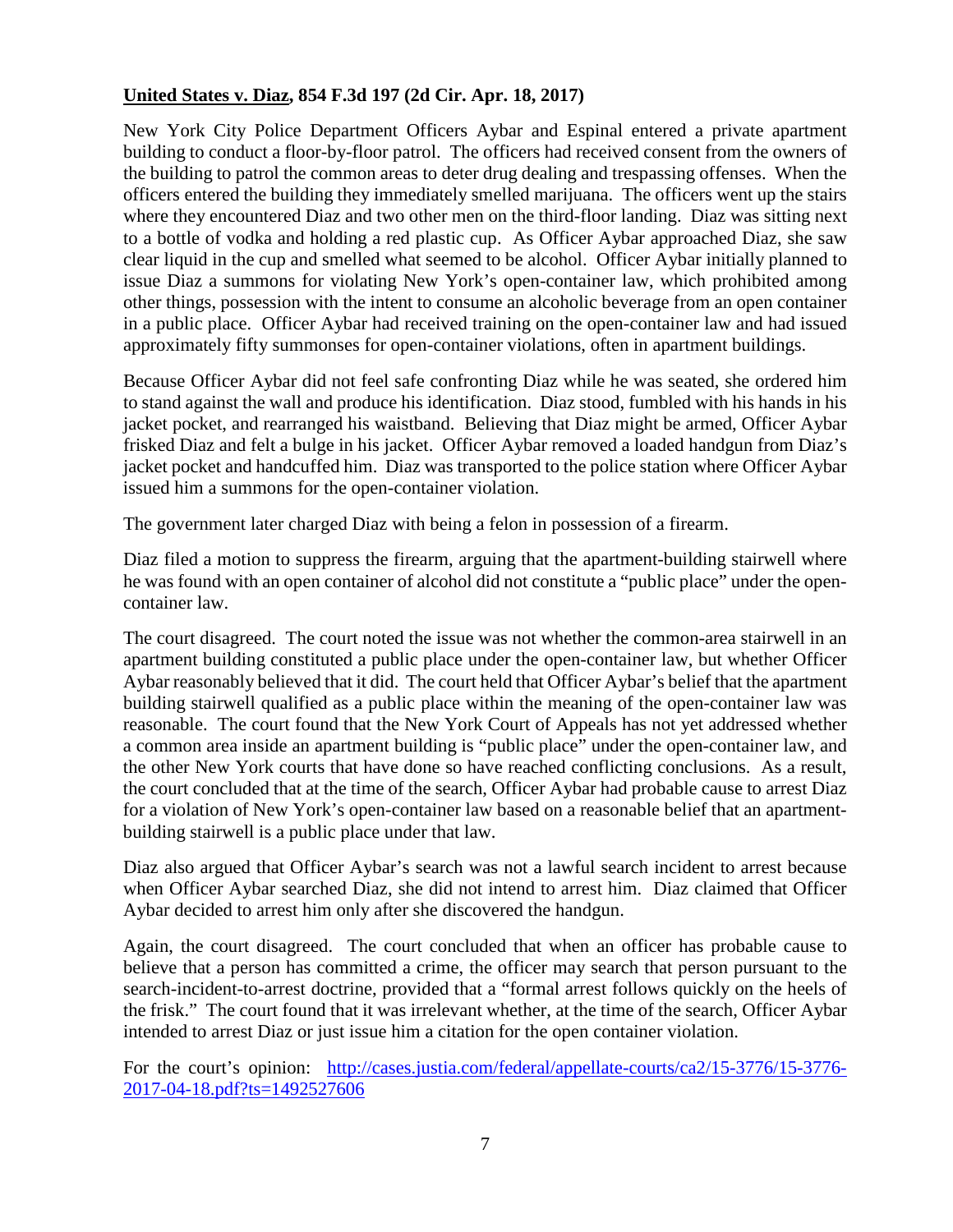#### <span id="page-6-0"></span>**United States v. Diaz, 854 F.3d 197 (2d Cir. Apr. 18, 2017)**

New York City Police Department Officers Aybar and Espinal entered a private apartment building to conduct a floor-by-floor patrol. The officers had received consent from the owners of the building to patrol the common areas to deter drug dealing and trespassing offenses. When the officers entered the building they immediately smelled marijuana. The officers went up the stairs where they encountered Diaz and two other men on the third-floor landing. Diaz was sitting next to a bottle of vodka and holding a red plastic cup. As Officer Aybar approached Diaz, she saw clear liquid in the cup and smelled what seemed to be alcohol. Officer Aybar initially planned to issue Diaz a summons for violating New York's open-container law, which prohibited among other things, possession with the intent to consume an alcoholic beverage from an open container in a public place. Officer Aybar had received training on the open-container law and had issued approximately fifty summonses for open-container violations, often in apartment buildings.

Because Officer Aybar did not feel safe confronting Diaz while he was seated, she ordered him to stand against the wall and produce his identification. Diaz stood, fumbled with his hands in his jacket pocket, and rearranged his waistband. Believing that Diaz might be armed, Officer Aybar frisked Diaz and felt a bulge in his jacket. Officer Aybar removed a loaded handgun from Diaz's jacket pocket and handcuffed him. Diaz was transported to the police station where Officer Aybar issued him a summons for the open-container violation.

The government later charged Diaz with being a felon in possession of a firearm.

Diaz filed a motion to suppress the firearm, arguing that the apartment-building stairwell where he was found with an open container of alcohol did not constitute a "public place" under the opencontainer law.

The court disagreed. The court noted the issue was not whether the common-area stairwell in an apartment building constituted a public place under the open-container law, but whether Officer Aybar reasonably believed that it did. The court held that Officer Aybar's belief that the apartment building stairwell qualified as a public place within the meaning of the open-container law was reasonable. The court found that the New York Court of Appeals has not yet addressed whether a common area inside an apartment building is "public place" under the open-container law, and the other New York courts that have done so have reached conflicting conclusions. As a result, the court concluded that at the time of the search, Officer Aybar had probable cause to arrest Diaz for a violation of New York's open-container law based on a reasonable belief that an apartmentbuilding stairwell is a public place under that law.

Diaz also argued that Officer Aybar's search was not a lawful search incident to arrest because when Officer Aybar searched Diaz, she did not intend to arrest him. Diaz claimed that Officer Aybar decided to arrest him only after she discovered the handgun.

Again, the court disagreed. The court concluded that when an officer has probable cause to believe that a person has committed a crime, the officer may search that person pursuant to the search-incident-to-arrest doctrine, provided that a "formal arrest follows quickly on the heels of the frisk." The court found that it was irrelevant whether, at the time of the search, Officer Aybar intended to arrest Diaz or just issue him a citation for the open container violation.

For the court's opinion: [http://cases.justia.com/federal/appellate-courts/ca2/15-3776/15-3776-](http://cases.justia.com/federal/appellate-courts/ca2/15-3776/15-3776-2017-04-18.pdf?ts=1492527606) [2017-04-18.pdf?ts=1492527606](http://cases.justia.com/federal/appellate-courts/ca2/15-3776/15-3776-2017-04-18.pdf?ts=1492527606)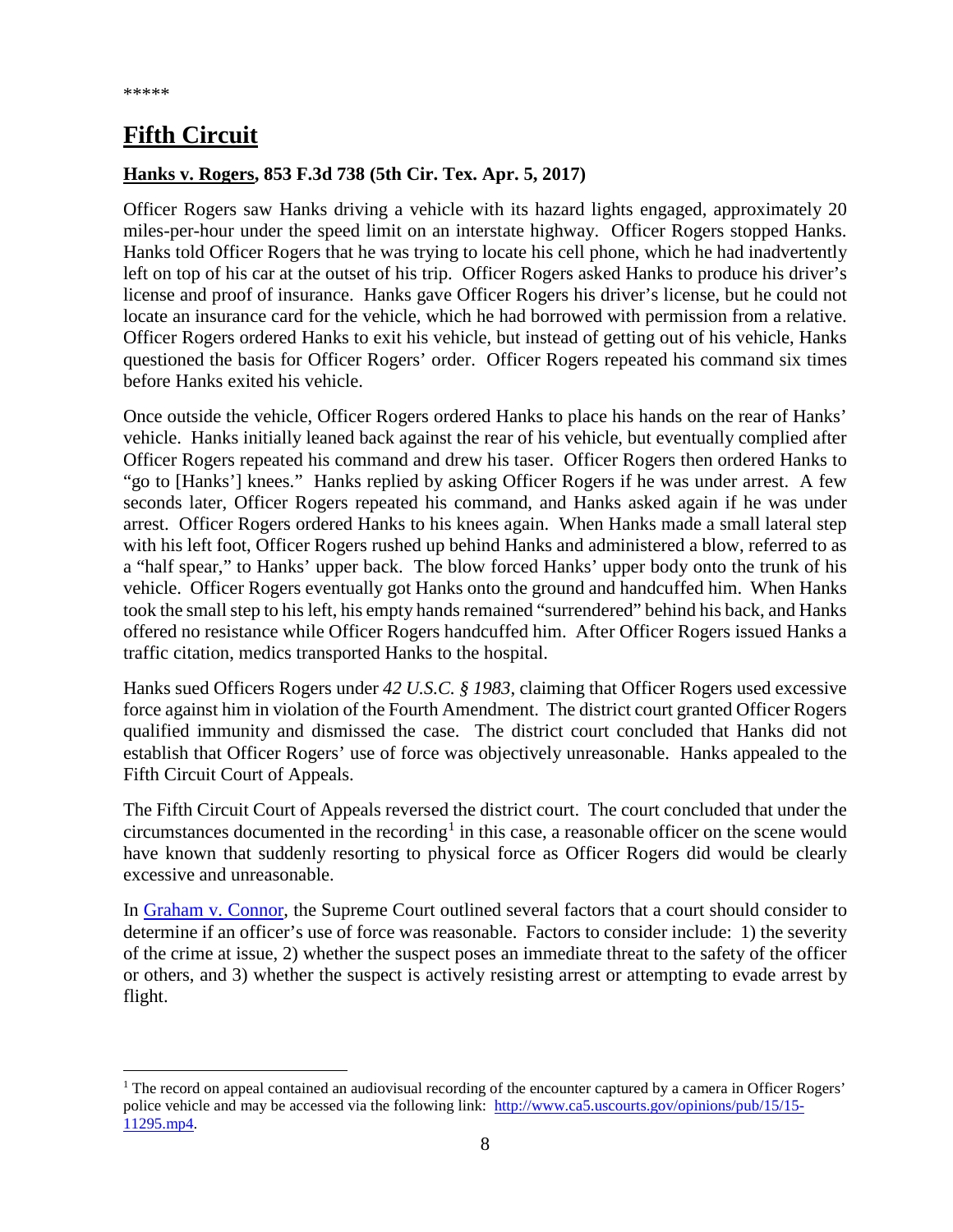## <span id="page-7-0"></span>**Fifth Circuit**

#### <span id="page-7-1"></span>**Hanks v. Rogers, 853 F.3d 738 (5th Cir. Tex. Apr. 5, 2017)**

Officer Rogers saw Hanks driving a vehicle with its hazard lights engaged, approximately 20 miles-per-hour under the speed limit on an interstate highway. Officer Rogers stopped Hanks. Hanks told Officer Rogers that he was trying to locate his cell phone, which he had inadvertently left on top of his car at the outset of his trip. Officer Rogers asked Hanks to produce his driver's license and proof of insurance. Hanks gave Officer Rogers his driver's license, but he could not locate an insurance card for the vehicle, which he had borrowed with permission from a relative. Officer Rogers ordered Hanks to exit his vehicle, but instead of getting out of his vehicle, Hanks questioned the basis for Officer Rogers' order. Officer Rogers repeated his command six times before Hanks exited his vehicle.

Once outside the vehicle, Officer Rogers ordered Hanks to place his hands on the rear of Hanks' vehicle. Hanks initially leaned back against the rear of his vehicle, but eventually complied after Officer Rogers repeated his command and drew his taser. Officer Rogers then ordered Hanks to "go to [Hanks'] knees." Hanks replied by asking Officer Rogers if he was under arrest. A few seconds later, Officer Rogers repeated his command, and Hanks asked again if he was under arrest. Officer Rogers ordered Hanks to his knees again. When Hanks made a small lateral step with his left foot, Officer Rogers rushed up behind Hanks and administered a blow, referred to as a "half spear," to Hanks' upper back. The blow forced Hanks' upper body onto the trunk of his vehicle. Officer Rogers eventually got Hanks onto the ground and handcuffed him. When Hanks took the small step to his left, his empty hands remained "surrendered" behind his back, and Hanks offered no resistance while Officer Rogers handcuffed him. After Officer Rogers issued Hanks a traffic citation, medics transported Hanks to the hospital.

Hanks sued Officers Rogers under *42 U.S.C. § 1983*, claiming that Officer Rogers used excessive force against him in violation of the Fourth Amendment. The district court granted Officer Rogers qualified immunity and dismissed the case. The district court concluded that Hanks did not establish that Officer Rogers' use of force was objectively unreasonable. Hanks appealed to the Fifth Circuit Court of Appeals.

The Fifth Circuit Court of Appeals reversed the district court. The court concluded that under the circumstances documented in the recording<sup>[1](#page-7-2)</sup> in this case, a reasonable officer on the scene would have known that suddenly resorting to physical force as Officer Rogers did would be clearly excessive and unreasonable.

In [Graham v. Connor,](https://supreme.justia.com/cases/federal/us/490/386/case.html) the Supreme Court outlined several factors that a court should consider to determine if an officer's use of force was reasonable. Factors to consider include: 1) the severity of the crime at issue, 2) whether the suspect poses an immediate threat to the safety of the officer or others, and 3) whether the suspect is actively resisting arrest or attempting to evade arrest by flight.

<span id="page-7-2"></span><sup>&</sup>lt;sup>1</sup> The record on appeal contained an audiovisual recording of the encounter captured by a camera in Officer Rogers' police vehicle and may be accessed via the following link: [http://www.ca5.uscourts.gov/opinions/pub/15/15-](http://www.ca5.uscourts.gov/opinions/pub/15/15-11295.mp4) [11295.mp4.](http://www.ca5.uscourts.gov/opinions/pub/15/15-11295.mp4)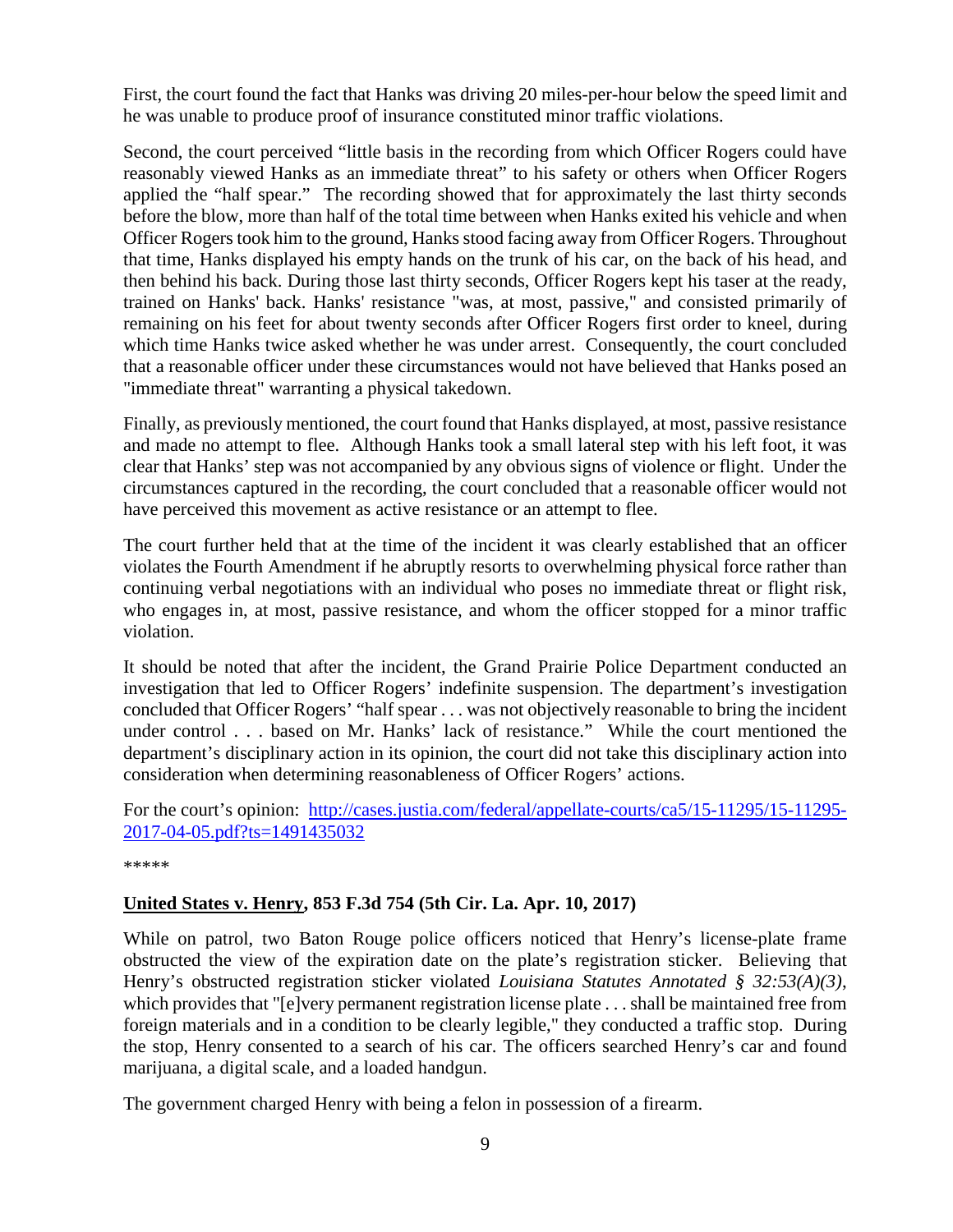First, the court found the fact that Hanks was driving 20 miles-per-hour below the speed limit and he was unable to produce proof of insurance constituted minor traffic violations.

Second, the court perceived "little basis in the recording from which Officer Rogers could have reasonably viewed Hanks as an immediate threat" to his safety or others when Officer Rogers applied the "half spear." The recording showed that for approximately the last thirty seconds before the blow, more than half of the total time between when Hanks exited his vehicle and when Officer Rogers took him to the ground, Hanks stood facing away from Officer Rogers. Throughout that time, Hanks displayed his empty hands on the trunk of his car, on the back of his head, and then behind his back. During those last thirty seconds, Officer Rogers kept his taser at the ready, trained on Hanks' back. Hanks' resistance "was, at most, passive," and consisted primarily of remaining on his feet for about twenty seconds after Officer Rogers first order to kneel, during which time Hanks twice asked whether he was under arrest. Consequently, the court concluded that a reasonable officer under these circumstances would not have believed that Hanks posed an "immediate threat" warranting a physical takedown.

Finally, as previously mentioned, the court found that Hanks displayed, at most, passive resistance and made no attempt to flee. Although Hanks took a small lateral step with his left foot, it was clear that Hanks' step was not accompanied by any obvious signs of violence or flight. Under the circumstances captured in the recording, the court concluded that a reasonable officer would not have perceived this movement as active resistance or an attempt to flee.

The court further held that at the time of the incident it was clearly established that an officer violates the Fourth Amendment if he abruptly resorts to overwhelming physical force rather than continuing verbal negotiations with an individual who poses no immediate threat or flight risk, who engages in, at most, passive resistance, and whom the officer stopped for a minor traffic violation.

It should be noted that after the incident, the Grand Prairie Police Department conducted an investigation that led to Officer Rogers' indefinite suspension. The department's investigation concluded that Officer Rogers' "half spear . . . was not objectively reasonable to bring the incident under control . . . based on Mr. Hanks' lack of resistance." While the court mentioned the department's disciplinary action in its opinion, the court did not take this disciplinary action into consideration when determining reasonableness of Officer Rogers' actions.

For the court's opinion: [http://cases.justia.com/federal/appellate-courts/ca5/15-11295/15-11295-](http://cases.justia.com/federal/appellate-courts/ca5/15-11295/15-11295-2017-04-05.pdf?ts=1491435032) [2017-04-05.pdf?ts=1491435032](http://cases.justia.com/federal/appellate-courts/ca5/15-11295/15-11295-2017-04-05.pdf?ts=1491435032)

\*\*\*\*\*

#### <span id="page-8-0"></span>**United States v. Henry, 853 F.3d 754 (5th Cir. La. Apr. 10, 2017)**

While on patrol, two Baton Rouge police officers noticed that Henry's license-plate frame obstructed the view of the expiration date on the plate's registration sticker. Believing that Henry's obstructed registration sticker violated *Louisiana Statutes Annotated § 32:53(A)(3)*, which provides that "[e]very permanent registration license plate . . . shall be maintained free from foreign materials and in a condition to be clearly legible," they conducted a traffic stop. During the stop, Henry consented to a search of his car. The officers searched Henry's car and found marijuana, a digital scale, and a loaded handgun.

The government charged Henry with being a felon in possession of a firearm.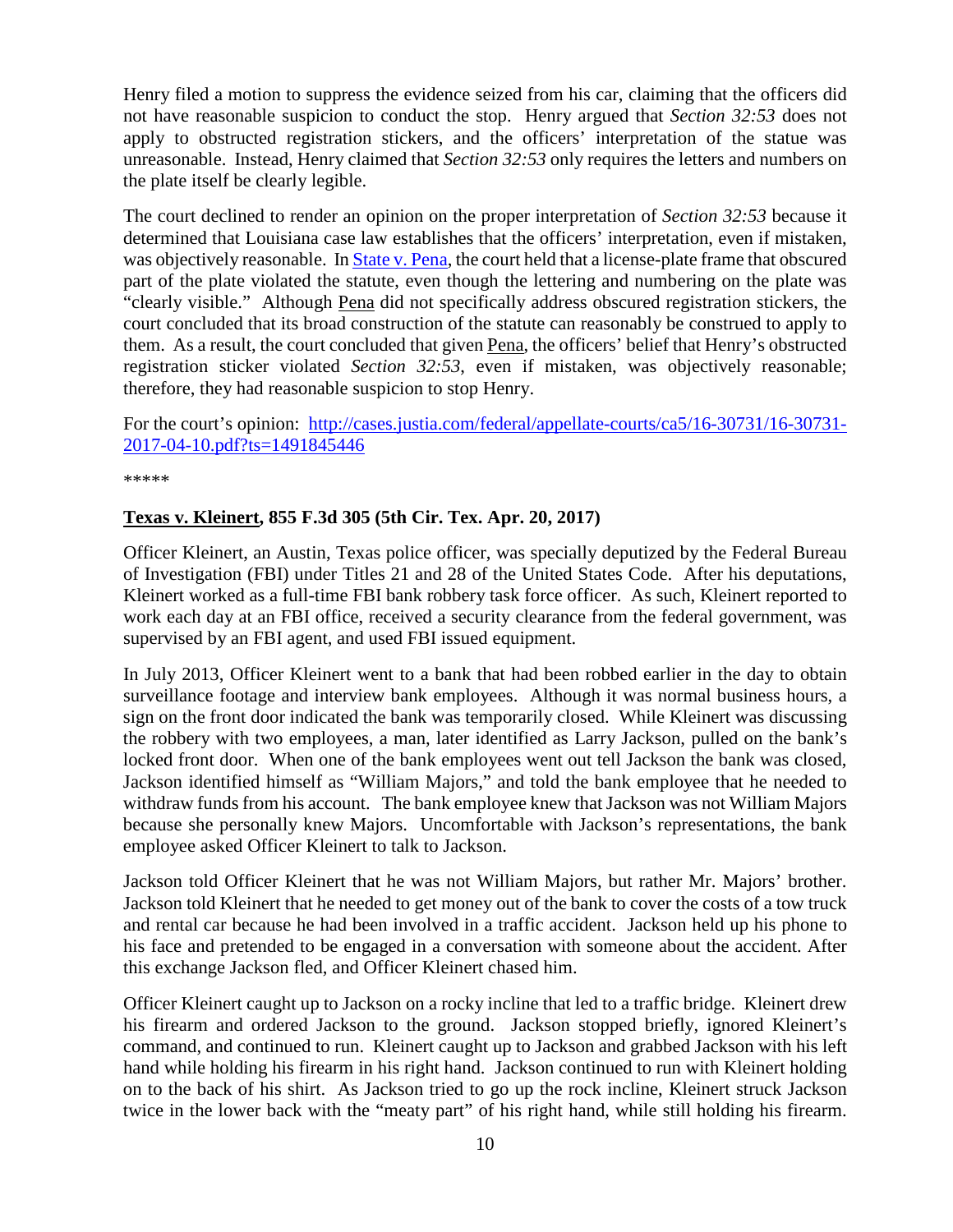Henry filed a motion to suppress the evidence seized from his car, claiming that the officers did not have reasonable suspicion to conduct the stop. Henry argued that *Section 32:53* does not apply to obstructed registration stickers, and the officers' interpretation of the statue was unreasonable. Instead, Henry claimed that *Section 32:53* only requires the letters and numbers on the plate itself be clearly legible.

The court declined to render an opinion on the proper interpretation of *Section 32:53* because it determined that Louisiana case law establishes that the officers' interpretation, even if mistaken, was objectively reasonable. In [State v. Pena,](http://www.leagle.com/decision/In%20LACO%2020080730363/STATE%20v.%20PENA) the court held that a license-plate frame that obscured part of the plate violated the statute, even though the lettering and numbering on the plate was "clearly visible." Although Pena did not specifically address obscured registration stickers, the court concluded that its broad construction of the statute can reasonably be construed to apply to them. As a result, the court concluded that given Pena, the officers' belief that Henry's obstructed registration sticker violated *Section 32:53*, even if mistaken, was objectively reasonable; therefore, they had reasonable suspicion to stop Henry.

For the court's opinion: [http://cases.justia.com/federal/appellate-courts/ca5/16-30731/16-30731-](http://cases.justia.com/federal/appellate-courts/ca5/16-30731/16-30731-2017-04-10.pdf?ts=1491845446) [2017-04-10.pdf?ts=1491845446](http://cases.justia.com/federal/appellate-courts/ca5/16-30731/16-30731-2017-04-10.pdf?ts=1491845446)

\*\*\*\*\*

#### <span id="page-9-0"></span>**Texas v. Kleinert, 855 F.3d 305 (5th Cir. Tex. Apr. 20, 2017)**

Officer Kleinert, an Austin, Texas police officer, was specially deputized by the Federal Bureau of Investigation (FBI) under Titles 21 and 28 of the United States Code. After his deputations, Kleinert worked as a full-time FBI bank robbery task force officer. As such, Kleinert reported to work each day at an FBI office, received a security clearance from the federal government, was supervised by an FBI agent, and used FBI issued equipment.

In July 2013, Officer Kleinert went to a bank that had been robbed earlier in the day to obtain surveillance footage and interview bank employees. Although it was normal business hours, a sign on the front door indicated the bank was temporarily closed. While Kleinert was discussing the robbery with two employees, a man, later identified as Larry Jackson, pulled on the bank's locked front door. When one of the bank employees went out tell Jackson the bank was closed, Jackson identified himself as "William Majors," and told the bank employee that he needed to withdraw funds from his account. The bank employee knew that Jackson was not William Majors because she personally knew Majors. Uncomfortable with Jackson's representations, the bank employee asked Officer Kleinert to talk to Jackson.

Jackson told Officer Kleinert that he was not William Majors, but rather Mr. Majors' brother. Jackson told Kleinert that he needed to get money out of the bank to cover the costs of a tow truck and rental car because he had been involved in a traffic accident. Jackson held up his phone to his face and pretended to be engaged in a conversation with someone about the accident. After this exchange Jackson fled, and Officer Kleinert chased him.

Officer Kleinert caught up to Jackson on a rocky incline that led to a traffic bridge. Kleinert drew his firearm and ordered Jackson to the ground. Jackson stopped briefly, ignored Kleinert's command, and continued to run. Kleinert caught up to Jackson and grabbed Jackson with his left hand while holding his firearm in his right hand. Jackson continued to run with Kleinert holding on to the back of his shirt. As Jackson tried to go up the rock incline, Kleinert struck Jackson twice in the lower back with the "meaty part" of his right hand, while still holding his firearm.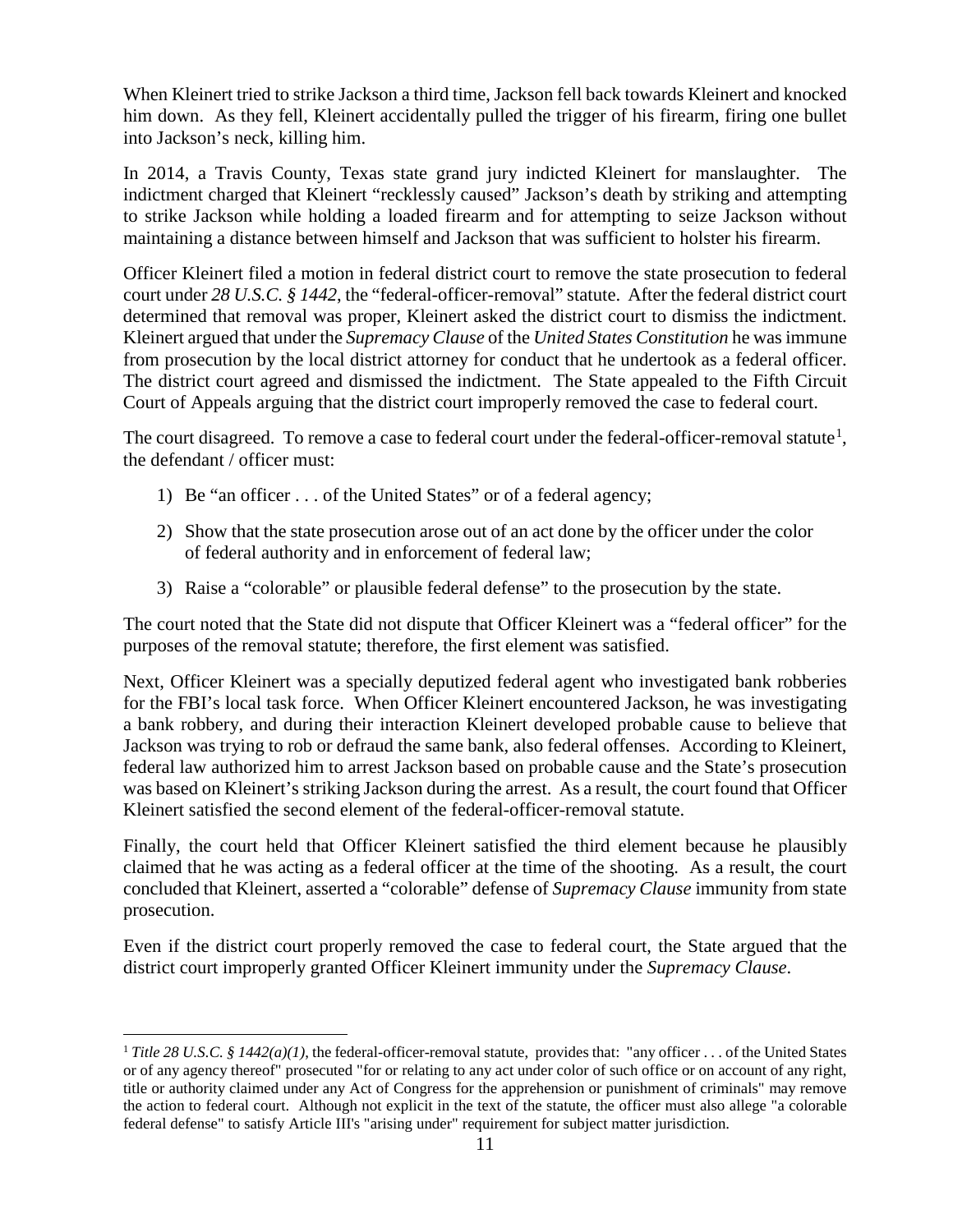When Kleinert tried to strike Jackson a third time, Jackson fell back towards Kleinert and knocked him down. As they fell, Kleinert accidentally pulled the trigger of his firearm, firing one bullet into Jackson's neck, killing him.

In 2014, a Travis County, Texas state grand jury indicted Kleinert for manslaughter. The indictment charged that Kleinert "recklessly caused" Jackson's death by striking and attempting to strike Jackson while holding a loaded firearm and for attempting to seize Jackson without maintaining a distance between himself and Jackson that was sufficient to holster his firearm.

Officer Kleinert filed a motion in federal district court to remove the state prosecution to federal court under *28 U.S.C. § 1442*, the "federal-officer-removal" statute. After the federal district court determined that removal was proper, Kleinert asked the district court to dismiss the indictment. Kleinert argued that under the *Supremacy Clause* of the *United States Constitution* he was immune from prosecution by the local district attorney for conduct that he undertook as a federal officer. The district court agreed and dismissed the indictment. The State appealed to the Fifth Circuit Court of Appeals arguing that the district court improperly removed the case to federal court.

The court disagreed. To remove a case to federal court under the federal-officer-removal statute<sup>[1](#page-10-0)</sup>, the defendant / officer must:

- 1) Be "an officer . . . of the United States" or of a federal agency;
- 2) Show that the state prosecution arose out of an act done by the officer under the color of federal authority and in enforcement of federal law;
- 3) Raise a "colorable" or plausible federal defense" to the prosecution by the state.

The court noted that the State did not dispute that Officer Kleinert was a "federal officer" for the purposes of the removal statute; therefore, the first element was satisfied.

Next, Officer Kleinert was a specially deputized federal agent who investigated bank robberies for the FBI's local task force. When Officer Kleinert encountered Jackson, he was investigating a bank robbery, and during their interaction Kleinert developed probable cause to believe that Jackson was trying to rob or defraud the same bank, also federal offenses. According to Kleinert, federal law authorized him to arrest Jackson based on probable cause and the State's prosecution was based on Kleinert's striking Jackson during the arrest. As a result, the court found that Officer Kleinert satisfied the second element of the federal-officer-removal statute.

Finally, the court held that Officer Kleinert satisfied the third element because he plausibly claimed that he was acting as a federal officer at the time of the shooting. As a result, the court concluded that Kleinert, asserted a "colorable" defense of *Supremacy Clause* immunity from state prosecution.

Even if the district court properly removed the case to federal court, the State argued that the district court improperly granted Officer Kleinert immunity under the *Supremacy Clause*.

<span id="page-10-0"></span><sup>&</sup>lt;sup>1</sup> *Title 28 U.S.C. § 1442(a)(1)*, the federal-officer-removal statute, provides that: "any officer ... of the United States or of any agency thereof" prosecuted "for or relating to any act under color of such office or on account of any right, title or authority claimed under any Act of Congress for the apprehension or punishment of criminals" may remove the action to federal court. Although not explicit in the text of the statute, the officer must also allege "a colorable federal defense" to satisfy Article III's "arising under" requirement for subject matter jurisdiction.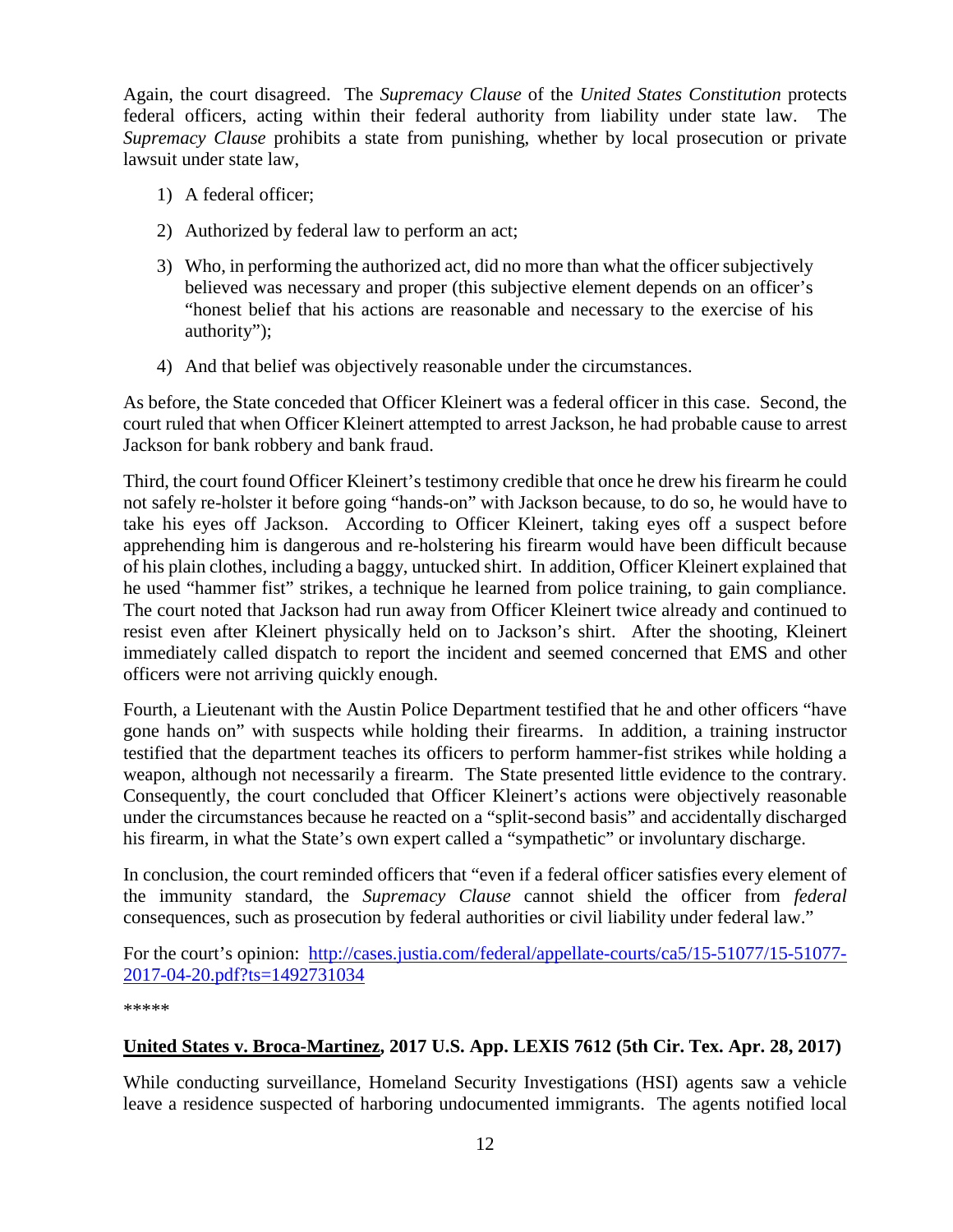Again, the court disagreed. The *Supremacy Clause* of the *United States Constitution* protects federal officers, acting within their federal authority from liability under state law. The *Supremacy Clause* prohibits a state from punishing, whether by local prosecution or private lawsuit under state law,

- 1) A federal officer;
- 2) Authorized by federal law to perform an act;
- 3) Who, in performing the authorized act, did no more than what the officer subjectively believed was necessary and proper (this subjective element depends on an officer's "honest belief that his actions are reasonable and necessary to the exercise of his authority");
- 4) And that belief was objectively reasonable under the circumstances.

As before, the State conceded that Officer Kleinert was a federal officer in this case. Second, the court ruled that when Officer Kleinert attempted to arrest Jackson, he had probable cause to arrest Jackson for bank robbery and bank fraud.

Third, the court found Officer Kleinert's testimony credible that once he drew his firearm he could not safely re-holster it before going "hands-on" with Jackson because, to do so, he would have to take his eyes off Jackson. According to Officer Kleinert, taking eyes off a suspect before apprehending him is dangerous and re-holstering his firearm would have been difficult because of his plain clothes, including a baggy, untucked shirt. In addition, Officer Kleinert explained that he used "hammer fist" strikes, a technique he learned from police training, to gain compliance. The court noted that Jackson had run away from Officer Kleinert twice already and continued to resist even after Kleinert physically held on to Jackson's shirt. After the shooting, Kleinert immediately called dispatch to report the incident and seemed concerned that EMS and other officers were not arriving quickly enough.

Fourth, a Lieutenant with the Austin Police Department testified that he and other officers "have gone hands on" with suspects while holding their firearms. In addition, a training instructor testified that the department teaches its officers to perform hammer-fist strikes while holding a weapon, although not necessarily a firearm. The State presented little evidence to the contrary. Consequently, the court concluded that Officer Kleinert's actions were objectively reasonable under the circumstances because he reacted on a "split-second basis" and accidentally discharged his firearm, in what the State's own expert called a "sympathetic" or involuntary discharge.

In conclusion, the court reminded officers that "even if a federal officer satisfies every element of the immunity standard, the *Supremacy Clause* cannot shield the officer from *federal* consequences, such as prosecution by federal authorities or civil liability under federal law."

For the court's opinion: [http://cases.justia.com/federal/appellate-courts/ca5/15-51077/15-51077-](http://cases.justia.com/federal/appellate-courts/ca5/15-51077/15-51077-2017-04-20.pdf?ts=1492731034) [2017-04-20.pdf?ts=1492731034](http://cases.justia.com/federal/appellate-courts/ca5/15-51077/15-51077-2017-04-20.pdf?ts=1492731034)

\*\*\*\*\*

#### <span id="page-11-0"></span>**United States v. Broca-Martinez, 2017 U.S. App. LEXIS 7612 (5th Cir. Tex. Apr. 28, 2017)**

While conducting surveillance, Homeland Security Investigations (HSI) agents saw a vehicle leave a residence suspected of harboring undocumented immigrants. The agents notified local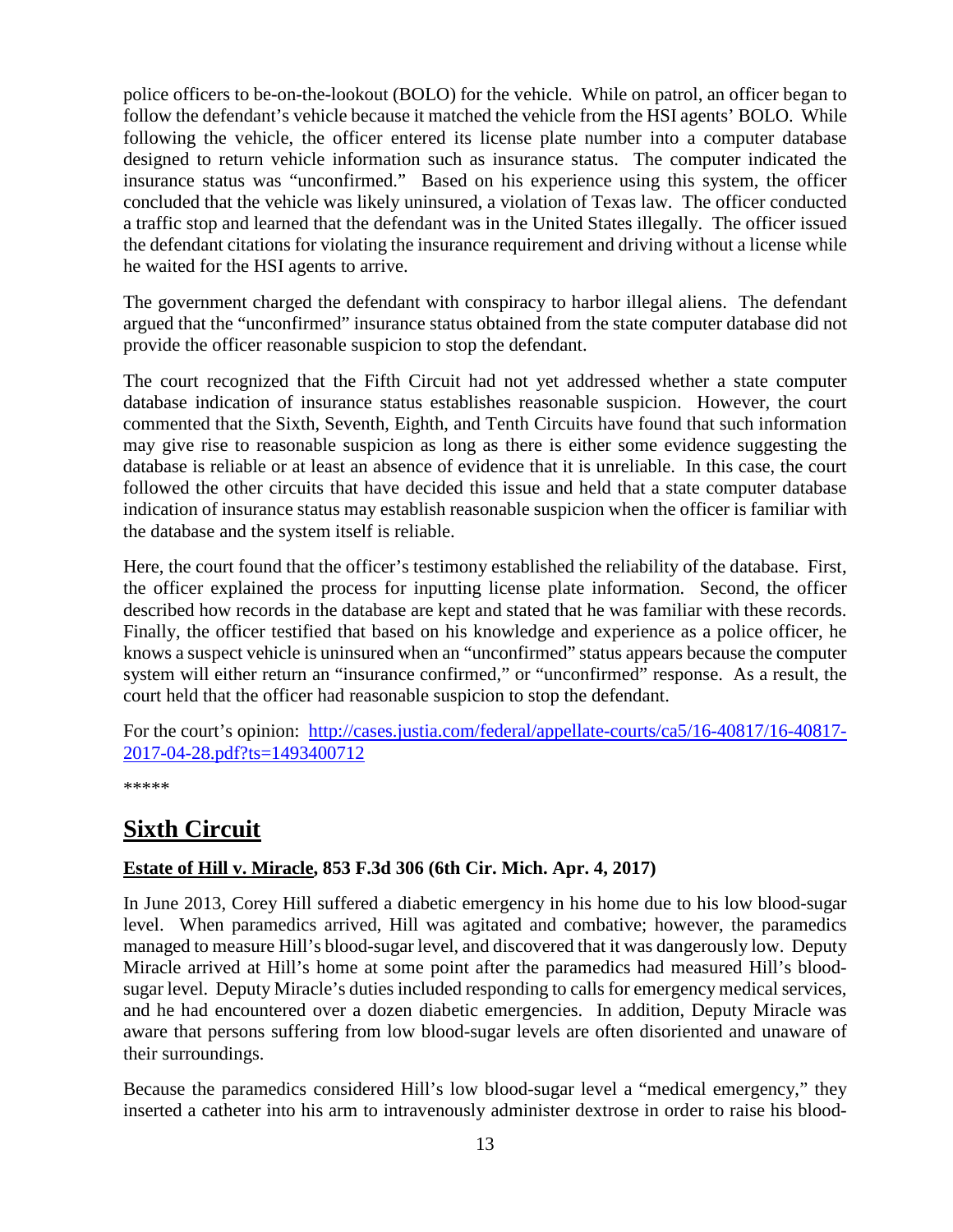police officers to be-on-the-lookout (BOLO) for the vehicle. While on patrol, an officer began to follow the defendant's vehicle because it matched the vehicle from the HSI agents' BOLO. While following the vehicle, the officer entered its license plate number into a computer database designed to return vehicle information such as insurance status. The computer indicated the insurance status was "unconfirmed." Based on his experience using this system, the officer concluded that the vehicle was likely uninsured, a violation of Texas law. The officer conducted a traffic stop and learned that the defendant was in the United States illegally. The officer issued the defendant citations for violating the insurance requirement and driving without a license while he waited for the HSI agents to arrive.

The government charged the defendant with conspiracy to harbor illegal aliens. The defendant argued that the "unconfirmed" insurance status obtained from the state computer database did not provide the officer reasonable suspicion to stop the defendant.

The court recognized that the Fifth Circuit had not yet addressed whether a state computer database indication of insurance status establishes reasonable suspicion. However, the court commented that the Sixth, Seventh, Eighth, and Tenth Circuits have found that such information may give rise to reasonable suspicion as long as there is either some evidence suggesting the database is reliable or at least an absence of evidence that it is unreliable. In this case, the court followed the other circuits that have decided this issue and held that a state computer database indication of insurance status may establish reasonable suspicion when the officer is familiar with the database and the system itself is reliable.

Here, the court found that the officer's testimony established the reliability of the database. First, the officer explained the process for inputting license plate information. Second, the officer described how records in the database are kept and stated that he was familiar with these records. Finally, the officer testified that based on his knowledge and experience as a police officer, he knows a suspect vehicle is uninsured when an "unconfirmed" status appears because the computer system will either return an "insurance confirmed," or "unconfirmed" response. As a result, the court held that the officer had reasonable suspicion to stop the defendant.

For the court's opinion: [http://cases.justia.com/federal/appellate-courts/ca5/16-40817/16-40817-](http://cases.justia.com/federal/appellate-courts/ca5/16-40817/16-40817-2017-04-28.pdf?ts=1493400712) [2017-04-28.pdf?ts=1493400712](http://cases.justia.com/federal/appellate-courts/ca5/16-40817/16-40817-2017-04-28.pdf?ts=1493400712)

\*\*\*\*\*

# <span id="page-12-0"></span>**Sixth Circuit**

#### <span id="page-12-1"></span>**Estate of Hill v. Miracle, 853 F.3d 306 (6th Cir. Mich. Apr. 4, 2017)**

In June 2013, Corey Hill suffered a diabetic emergency in his home due to his low blood-sugar level. When paramedics arrived, Hill was agitated and combative; however, the paramedics managed to measure Hill's blood-sugar level, and discovered that it was dangerously low. Deputy Miracle arrived at Hill's home at some point after the paramedics had measured Hill's bloodsugar level. Deputy Miracle's duties included responding to calls for emergency medical services, and he had encountered over a dozen diabetic emergencies. In addition, Deputy Miracle was aware that persons suffering from low blood-sugar levels are often disoriented and unaware of their surroundings.

Because the paramedics considered Hill's low blood-sugar level a "medical emergency," they inserted a catheter into his arm to intravenously administer dextrose in order to raise his blood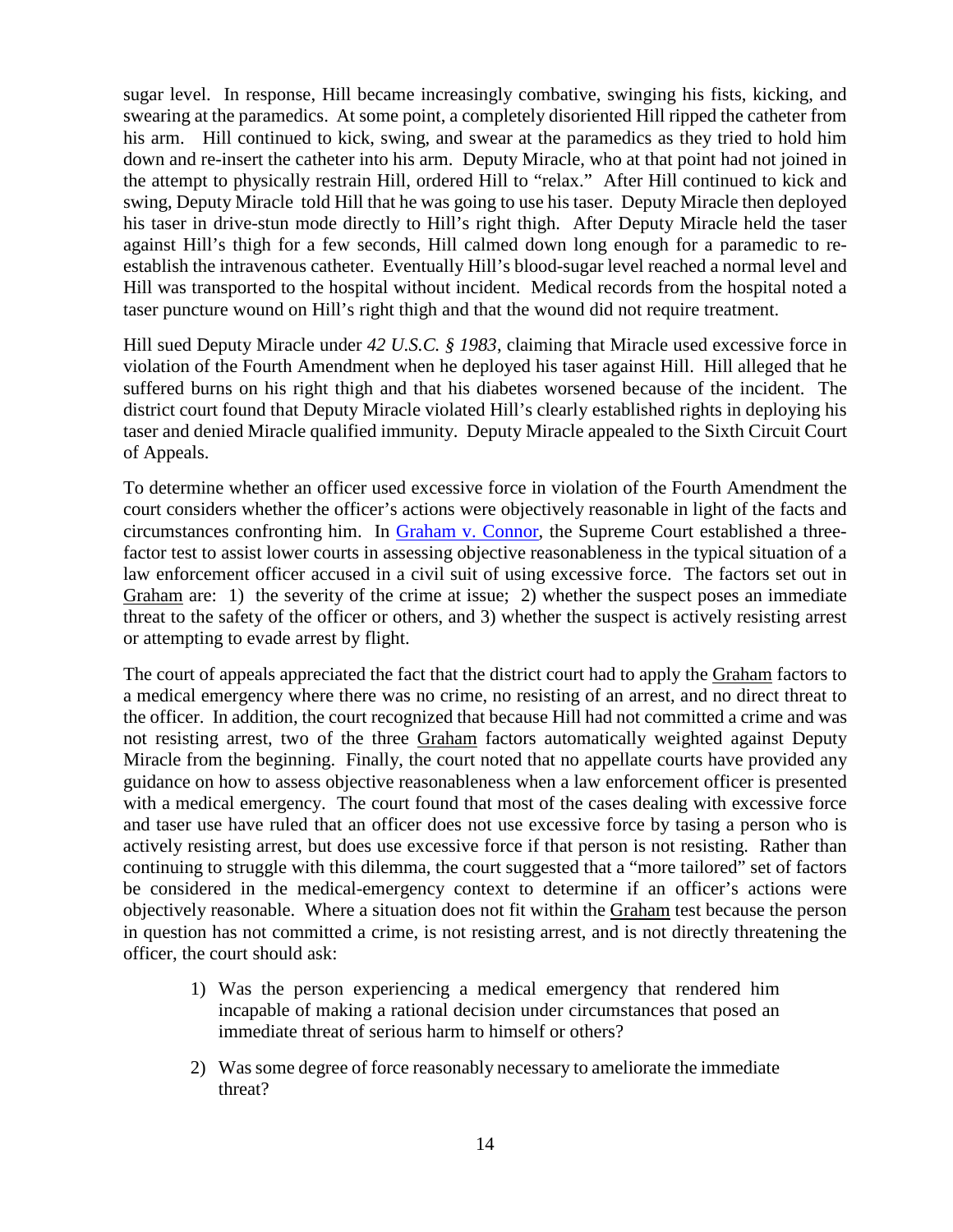sugar level. In response, Hill became increasingly combative, swinging his fists, kicking, and swearing at the paramedics. At some point, a completely disoriented Hill ripped the catheter from his arm. Hill continued to kick, swing, and swear at the paramedics as they tried to hold him down and re-insert the catheter into his arm. Deputy Miracle, who at that point had not joined in the attempt to physically restrain Hill, ordered Hill to "relax." After Hill continued to kick and swing, Deputy Miracle told Hill that he was going to use his taser. Deputy Miracle then deployed his taser in drive-stun mode directly to Hill's right thigh. After Deputy Miracle held the taser against Hill's thigh for a few seconds, Hill calmed down long enough for a paramedic to reestablish the intravenous catheter. Eventually Hill's blood-sugar level reached a normal level and Hill was transported to the hospital without incident. Medical records from the hospital noted a taser puncture wound on Hill's right thigh and that the wound did not require treatment.

Hill sued Deputy Miracle under *42 U.S.C. § 1983*, claiming that Miracle used excessive force in violation of the Fourth Amendment when he deployed his taser against Hill. Hill alleged that he suffered burns on his right thigh and that his diabetes worsened because of the incident. The district court found that Deputy Miracle violated Hill's clearly established rights in deploying his taser and denied Miracle qualified immunity. Deputy Miracle appealed to the Sixth Circuit Court of Appeals.

To determine whether an officer used excessive force in violation of the Fourth Amendment the court considers whether the officer's actions were objectively reasonable in light of the facts and circumstances confronting him. In [Graham v. Connor,](https://supreme.justia.com/cases/federal/us/490/386/case.html) the Supreme Court established a threefactor test to assist lower courts in assessing objective reasonableness in the typical situation of a law enforcement officer accused in a civil suit of using excessive force. The factors set out in Graham are: 1) the severity of the crime at issue; 2) whether the suspect poses an immediate threat to the safety of the officer or others, and 3) whether the suspect is actively resisting arrest or attempting to evade arrest by flight.

The court of appeals appreciated the fact that the district court had to apply the Graham factors to a medical emergency where there was no crime, no resisting of an arrest, and no direct threat to the officer. In addition, the court recognized that because Hill had not committed a crime and was not resisting arrest, two of the three Graham factors automatically weighted against Deputy Miracle from the beginning. Finally, the court noted that no appellate courts have provided any guidance on how to assess objective reasonableness when a law enforcement officer is presented with a medical emergency. The court found that most of the cases dealing with excessive force and taser use have ruled that an officer does not use excessive force by tasing a person who is actively resisting arrest, but does use excessive force if that person is not resisting. Rather than continuing to struggle with this dilemma, the court suggested that a "more tailored" set of factors be considered in the medical-emergency context to determine if an officer's actions were objectively reasonable. Where a situation does not fit within the Graham test because the person in question has not committed a crime, is not resisting arrest, and is not directly threatening the officer, the court should ask:

- 1) Was the person experiencing a medical emergency that rendered him incapable of making a rational decision under circumstances that posed an immediate threat of serious harm to himself or others?
- 2) Was some degree of force reasonably necessary to ameliorate the immediate threat?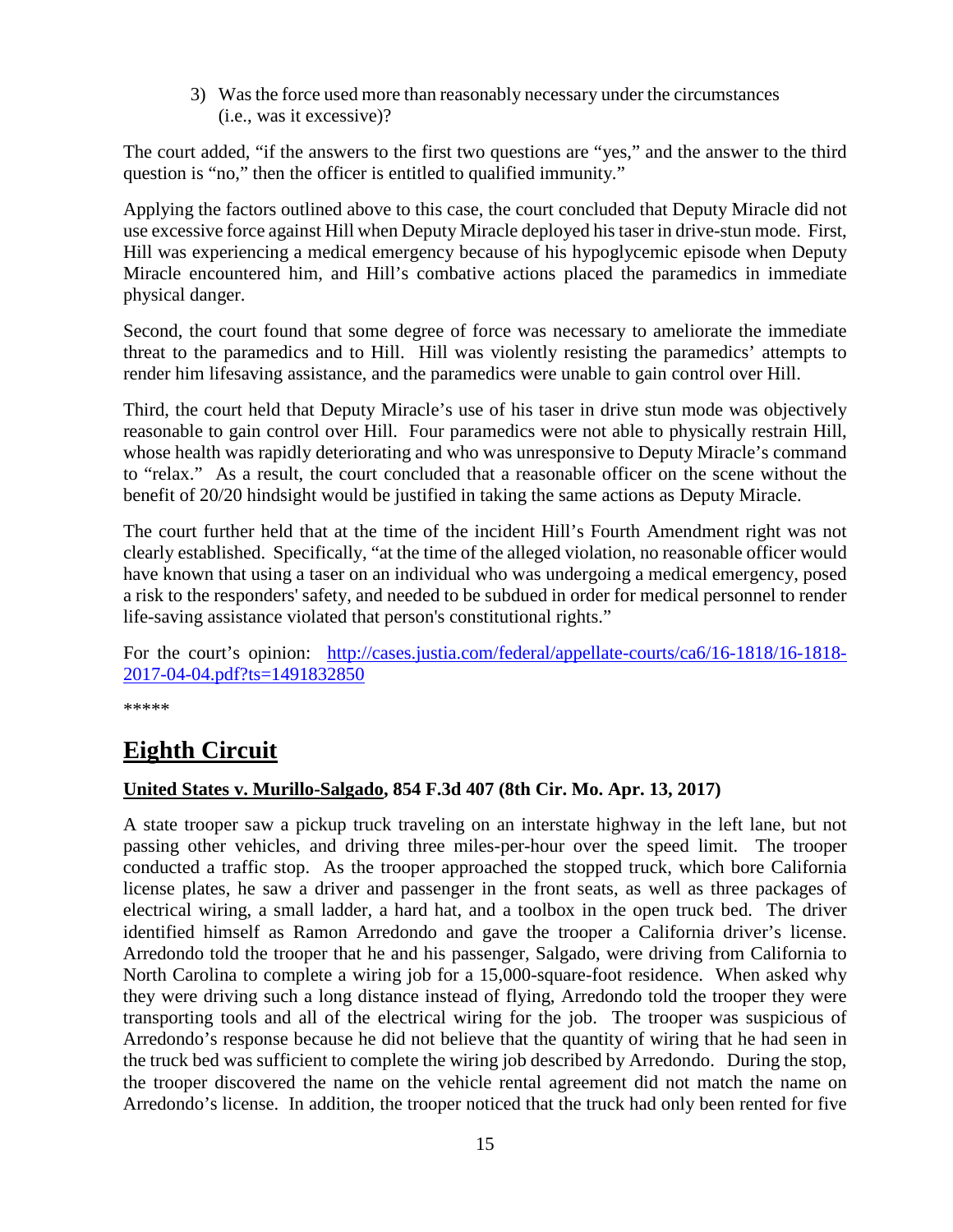3) Was the force used more than reasonably necessary under the circumstances (i.e., was it excessive)?

The court added, "if the answers to the first two questions are "yes," and the answer to the third question is "no," then the officer is entitled to qualified immunity."

Applying the factors outlined above to this case, the court concluded that Deputy Miracle did not use excessive force against Hill when Deputy Miracle deployed his taser in drive-stun mode. First, Hill was experiencing a medical emergency because of his hypoglycemic episode when Deputy Miracle encountered him, and Hill's combative actions placed the paramedics in immediate physical danger.

Second, the court found that some degree of force was necessary to ameliorate the immediate threat to the paramedics and to Hill. Hill was violently resisting the paramedics' attempts to render him lifesaving assistance, and the paramedics were unable to gain control over Hill.

Third, the court held that Deputy Miracle's use of his taser in drive stun mode was objectively reasonable to gain control over Hill. Four paramedics were not able to physically restrain Hill, whose health was rapidly deteriorating and who was unresponsive to Deputy Miracle's command to "relax." As a result, the court concluded that a reasonable officer on the scene without the benefit of 20/20 hindsight would be justified in taking the same actions as Deputy Miracle.

The court further held that at the time of the incident Hill's Fourth Amendment right was not clearly established. Specifically, "at the time of the alleged violation, no reasonable officer would have known that using a taser on an individual who was undergoing a medical emergency, posed a risk to the responders' safety, and needed to be subdued in order for medical personnel to render life-saving assistance violated that person's constitutional rights."

For the court's opinion: [http://cases.justia.com/federal/appellate-courts/ca6/16-1818/16-1818-](http://cases.justia.com/federal/appellate-courts/ca6/16-1818/16-1818-2017-04-04.pdf?ts=1491832850) [2017-04-04.pdf?ts=1491832850](http://cases.justia.com/federal/appellate-courts/ca6/16-1818/16-1818-2017-04-04.pdf?ts=1491832850)

\*\*\*\*\*

# <span id="page-14-0"></span>**Eighth Circuit**

#### <span id="page-14-1"></span>**United States v. Murillo-Salgado, 854 F.3d 407 (8th Cir. Mo. Apr. 13, 2017)**

A state trooper saw a pickup truck traveling on an interstate highway in the left lane, but not passing other vehicles, and driving three miles-per-hour over the speed limit. The trooper conducted a traffic stop. As the trooper approached the stopped truck, which bore California license plates, he saw a driver and passenger in the front seats, as well as three packages of electrical wiring, a small ladder, a hard hat, and a toolbox in the open truck bed. The driver identified himself as Ramon Arredondo and gave the trooper a California driver's license. Arredondo told the trooper that he and his passenger, Salgado, were driving from California to North Carolina to complete a wiring job for a 15,000-square-foot residence. When asked why they were driving such a long distance instead of flying, Arredondo told the trooper they were transporting tools and all of the electrical wiring for the job. The trooper was suspicious of Arredondo's response because he did not believe that the quantity of wiring that he had seen in the truck bed was sufficient to complete the wiring job described by Arredondo. During the stop, the trooper discovered the name on the vehicle rental agreement did not match the name on Arredondo's license. In addition, the trooper noticed that the truck had only been rented for five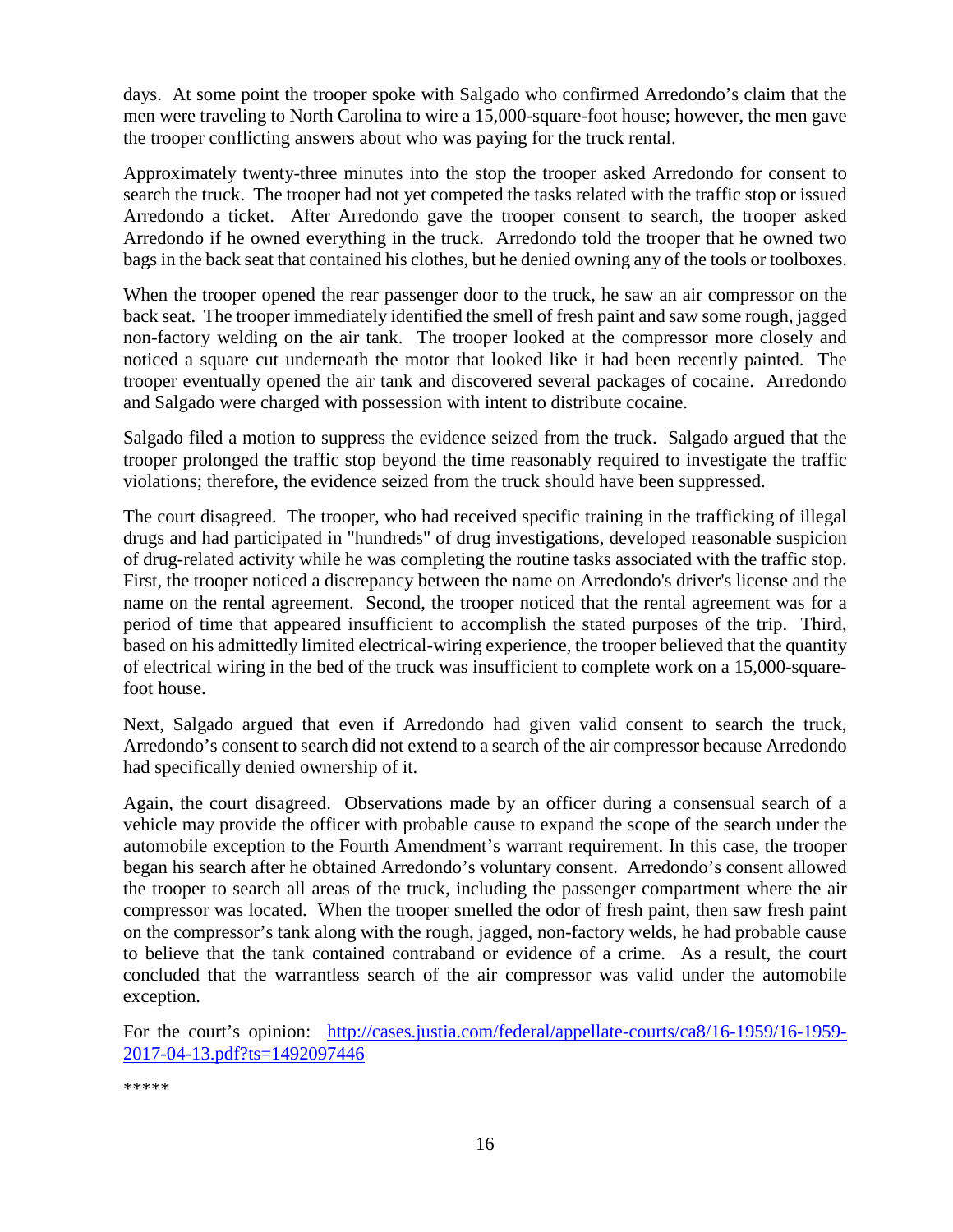days. At some point the trooper spoke with Salgado who confirmed Arredondo's claim that the men were traveling to North Carolina to wire a 15,000-square-foot house; however, the men gave the trooper conflicting answers about who was paying for the truck rental.

Approximately twenty-three minutes into the stop the trooper asked Arredondo for consent to search the truck. The trooper had not yet competed the tasks related with the traffic stop or issued Arredondo a ticket. After Arredondo gave the trooper consent to search, the trooper asked Arredondo if he owned everything in the truck. Arredondo told the trooper that he owned two bags in the back seat that contained his clothes, but he denied owning any of the tools or toolboxes.

When the trooper opened the rear passenger door to the truck, he saw an air compressor on the back seat. The trooper immediately identified the smell of fresh paint and saw some rough, jagged non-factory welding on the air tank. The trooper looked at the compressor more closely and noticed a square cut underneath the motor that looked like it had been recently painted. The trooper eventually opened the air tank and discovered several packages of cocaine. Arredondo and Salgado were charged with possession with intent to distribute cocaine.

Salgado filed a motion to suppress the evidence seized from the truck. Salgado argued that the trooper prolonged the traffic stop beyond the time reasonably required to investigate the traffic violations; therefore, the evidence seized from the truck should have been suppressed.

The court disagreed. The trooper, who had received specific training in the trafficking of illegal drugs and had participated in "hundreds" of drug investigations, developed reasonable suspicion of drug-related activity while he was completing the routine tasks associated with the traffic stop. First, the trooper noticed a discrepancy between the name on Arredondo's driver's license and the name on the rental agreement. Second, the trooper noticed that the rental agreement was for a period of time that appeared insufficient to accomplish the stated purposes of the trip. Third, based on his admittedly limited electrical-wiring experience, the trooper believed that the quantity of electrical wiring in the bed of the truck was insufficient to complete work on a 15,000-squarefoot house.

Next, Salgado argued that even if Arredondo had given valid consent to search the truck, Arredondo's consent to search did not extend to a search of the air compressor because Arredondo had specifically denied ownership of it.

Again, the court disagreed. Observations made by an officer during a consensual search of a vehicle may provide the officer with probable cause to expand the scope of the search under the automobile exception to the Fourth Amendment's warrant requirement. In this case, the trooper began his search after he obtained Arredondo's voluntary consent. Arredondo's consent allowed the trooper to search all areas of the truck, including the passenger compartment where the air compressor was located. When the trooper smelled the odor of fresh paint, then saw fresh paint on the compressor's tank along with the rough, jagged, non-factory welds, he had probable cause to believe that the tank contained contraband or evidence of a crime. As a result, the court concluded that the warrantless search of the air compressor was valid under the automobile exception.

For the court's opinion: [http://cases.justia.com/federal/appellate-courts/ca8/16-1959/16-1959-](http://cases.justia.com/federal/appellate-courts/ca8/16-1959/16-1959-2017-04-13.pdf?ts=1492097446) [2017-04-13.pdf?ts=1492097446](http://cases.justia.com/federal/appellate-courts/ca8/16-1959/16-1959-2017-04-13.pdf?ts=1492097446)

\*\*\*\*\*